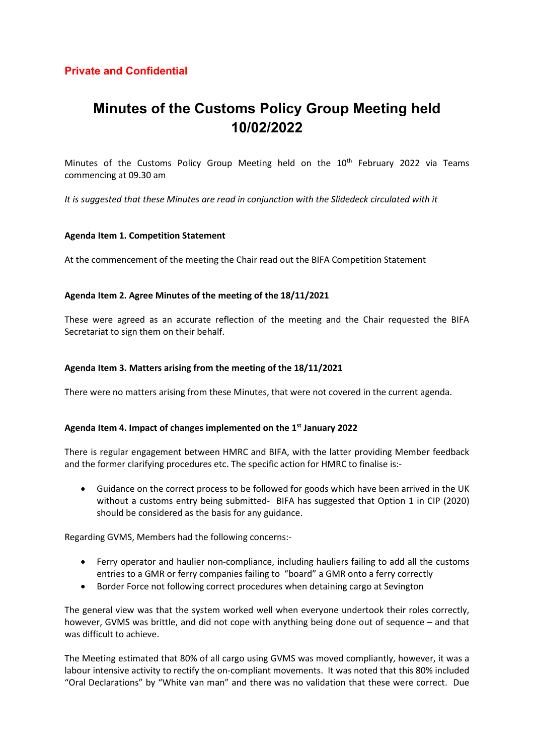## Private and Confidential

# Minutes of the Customs Policy Group Meeting held 10/02/2022

Minutes of the Customs Policy Group Meeting held on the  $10<sup>th</sup>$  February 2022 via Teams commencing at 09.30 am

It is suggested that these Minutes are read in conjunction with the Slidedeck circulated with it

## Agenda Item 1. Competition Statement

At the commencement of the meeting the Chair read out the BIFA Competition Statement

## Agenda Item 2. Agree Minutes of the meeting of the 18/11/2021

These were agreed as an accurate reflection of the meeting and the Chair requested the BIFA Secretariat to sign them on their behalf.

## Agenda Item 3. Matters arising from the meeting of the 18/11/2021

There were no matters arising from these Minutes, that were not covered in the current agenda.

## Agenda Item 4. Impact of changes implemented on the 1<sup>st</sup> January 2022

There is regular engagement between HMRC and BIFA, with the latter providing Member feedback and the former clarifying procedures etc. The specific action for HMRC to finalise is:-

 Guidance on the correct process to be followed for goods which have been arrived in the UK without a customs entry being submitted- BIFA has suggested that Option 1 in CIP (2020) should be considered as the basis for any guidance.

Regarding GVMS, Members had the following concerns:-

- Ferry operator and haulier non-compliance, including hauliers failing to add all the customs entries to a GMR or ferry companies failing to "board" a GMR onto a ferry correctly
- Border Force not following correct procedures when detaining cargo at Sevington

The general view was that the system worked well when everyone undertook their roles correctly, however, GVMS was brittle, and did not cope with anything being done out of sequence – and that was difficult to achieve.

The Meeting estimated that 80% of all cargo using GVMS was moved compliantly, however, it was a labour intensive activity to rectify the on-compliant movements. It was noted that this 80% included "Oral Declarations" by "White van man" and there was no validation that these were correct. Due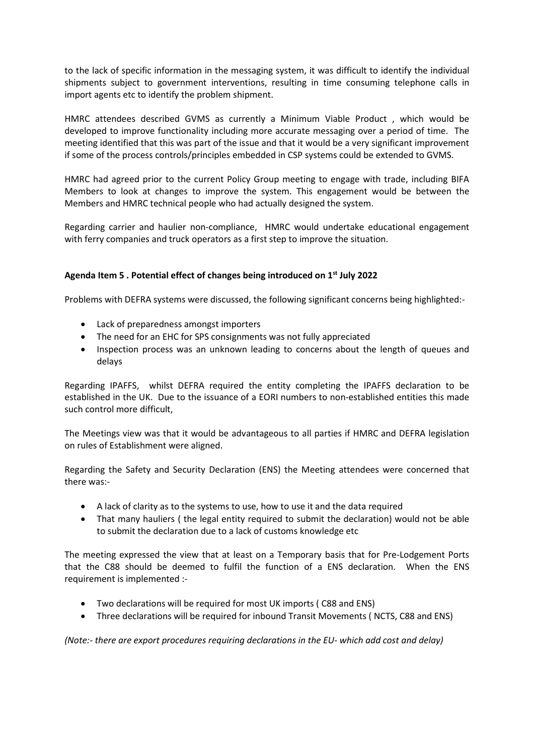to the lack of specific information in the messaging system, it was difficult to identify the individual shipments subject to government interventions, resulting in time consuming telephone calls in import agents etc to identify the problem shipment.

HMRC attendees described GVMS as currently a Minimum Viable Product , which would be developed to improve functionality including more accurate messaging over a period of time. The meeting identified that this was part of the issue and that it would be a very significant improvement if some of the process controls/principles embedded in CSP systems could be extended to GVMS.

HMRC had agreed prior to the current Policy Group meeting to engage with trade, including BIFA Members to look at changes to improve the system. This engagement would be between the Members and HMRC technical people who had actually designed the system.

Regarding carrier and haulier non-compliance, HMRC would undertake educational engagement with ferry companies and truck operators as a first step to improve the situation.

## Agenda Item 5 . Potential effect of changes being introduced on 1<sup>st</sup> July 2022

Problems with DEFRA systems were discussed, the following significant concerns being highlighted:-

- Lack of preparedness amongst importers
- The need for an EHC for SPS consignments was not fully appreciated
- Inspection process was an unknown leading to concerns about the length of queues and delays

Regarding IPAFFS, whilst DEFRA required the entity completing the IPAFFS declaration to be established in the UK. Due to the issuance of a EORI numbers to non-established entities this made such control more difficult,

The Meetings view was that it would be advantageous to all parties if HMRC and DEFRA legislation on rules of Establishment were aligned.

Regarding the Safety and Security Declaration (ENS) the Meeting attendees were concerned that there was:-

- A lack of clarity as to the systems to use, how to use it and the data required
- That many hauliers ( the legal entity required to submit the declaration) would not be able to submit the declaration due to a lack of customs knowledge etc

The meeting expressed the view that at least on a Temporary basis that for Pre-Lodgement Ports that the C88 should be deemed to fulfil the function of a ENS declaration. When the ENS requirement is implemented :-

- Two declarations will be required for most UK imports ( C88 and ENS)
- Three declarations will be required for inbound Transit Movements ( NCTS, C88 and ENS)

(Note:- there are export procedures requiring declarations in the EU- which add cost and delay)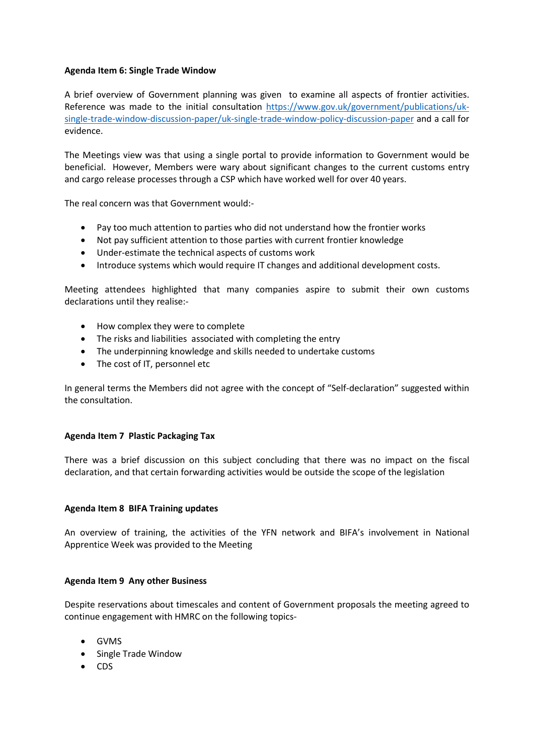## Agenda Item 6: Single Trade Window

A brief overview of Government planning was given to examine all aspects of frontier activities. Reference was made to the initial consultation https://www.gov.uk/government/publications/uksingle-trade-window-discussion-paper/uk-single-trade-window-policy-discussion-paper and a call for evidence.

The Meetings view was that using a single portal to provide information to Government would be beneficial. However, Members were wary about significant changes to the current customs entry and cargo release processes through a CSP which have worked well for over 40 years.

The real concern was that Government would:-

- Pay too much attention to parties who did not understand how the frontier works
- Not pay sufficient attention to those parties with current frontier knowledge
- Under-estimate the technical aspects of customs work
- Introduce systems which would require IT changes and additional development costs.

Meeting attendees highlighted that many companies aspire to submit their own customs declarations until they realise:-

- How complex they were to complete
- The risks and liabilities associated with completing the entry
- The underpinning knowledge and skills needed to undertake customs
- The cost of IT, personnel etc

In general terms the Members did not agree with the concept of "Self-declaration" suggested within the consultation.

## Agenda Item 7 Plastic Packaging Tax

There was a brief discussion on this subject concluding that there was no impact on the fiscal declaration, and that certain forwarding activities would be outside the scope of the legislation

## Agenda Item 8 BIFA Training updates

An overview of training, the activities of the YFN network and BIFA's involvement in National Apprentice Week was provided to the Meeting

## Agenda Item 9 Any other Business

Despite reservations about timescales and content of Government proposals the meeting agreed to continue engagement with HMRC on the following topics-

- GVMS
- Single Trade Window
- CDS